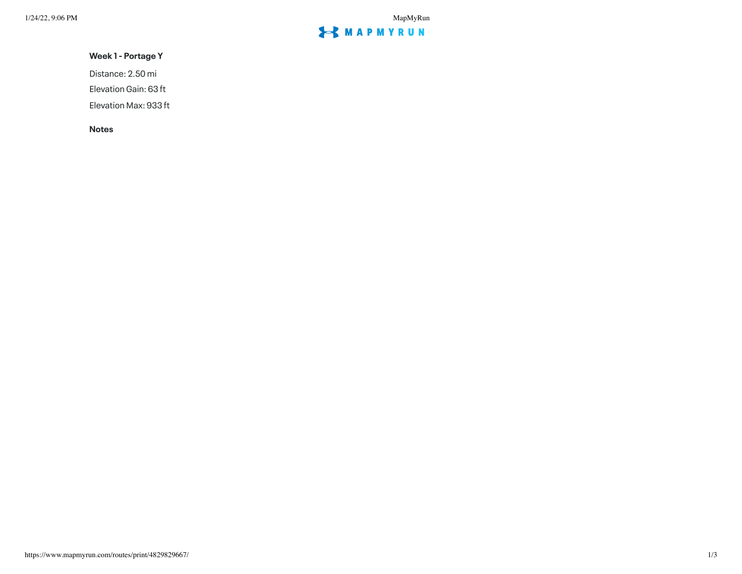## **EXMAPMYRUN**

## **Week 1 - Portage Y**

Distance: 2.50 mi Elevation Gain: 63 ft

Elevation Max: 933 ft

**Notes**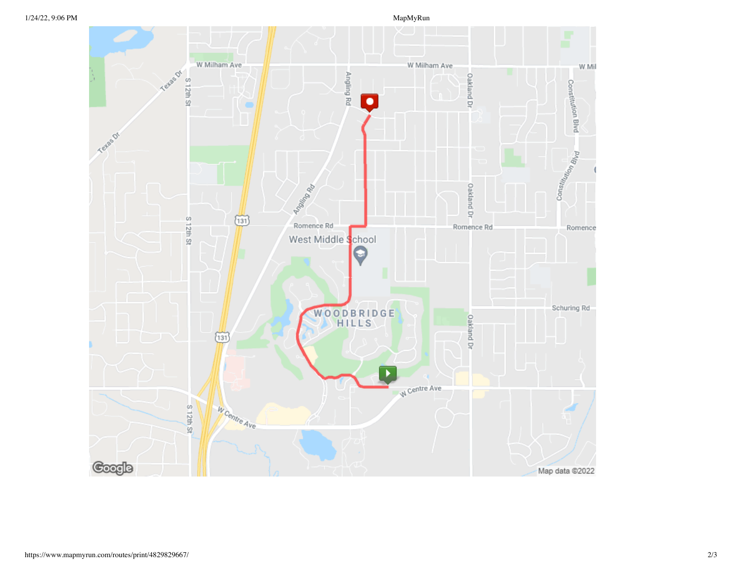